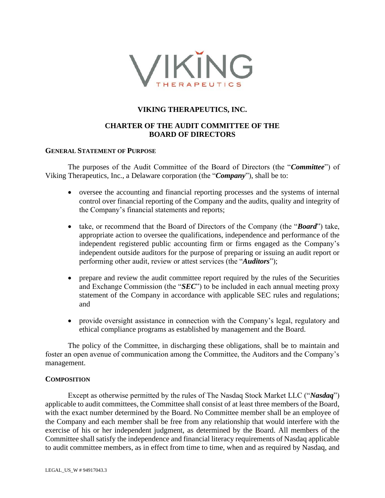

# **VIKING THERAPEUTICS, INC.**

# **CHARTER OF THE AUDIT COMMITTEE OF THE BOARD OF DIRECTORS**

## **GENERAL STATEMENT OF PURPOSE**

The purposes of the Audit Committee of the Board of Directors (the "*Committee*") of Viking Therapeutics, Inc., a Delaware corporation (the "*Company*"), shall be to:

- oversee the accounting and financial reporting processes and the systems of internal control over financial reporting of the Company and the audits, quality and integrity of the Company's financial statements and reports;
- take, or recommend that the Board of Directors of the Company (the "*Board*") take, appropriate action to oversee the qualifications, independence and performance of the independent registered public accounting firm or firms engaged as the Company's independent outside auditors for the purpose of preparing or issuing an audit report or performing other audit, review or attest services (the "*Auditors*");
- prepare and review the audit committee report required by the rules of the Securities and Exchange Commission (the "*SEC*") to be included in each annual meeting proxy statement of the Company in accordance with applicable SEC rules and regulations; and
- provide oversight assistance in connection with the Company's legal, regulatory and ethical compliance programs as established by management and the Board.

The policy of the Committee, in discharging these obligations, shall be to maintain and foster an open avenue of communication among the Committee, the Auditors and the Company's management.

## **COMPOSITION**

Except as otherwise permitted by the rules of The Nasdaq Stock Market LLC ("*Nasdaq*") applicable to audit committees, the Committee shall consist of at least three members of the Board, with the exact number determined by the Board. No Committee member shall be an employee of the Company and each member shall be free from any relationship that would interfere with the exercise of his or her independent judgment, as determined by the Board. All members of the Committee shall satisfy the independence and financial literacy requirements of Nasdaq applicable to audit committee members, as in effect from time to time, when and as required by Nasdaq, and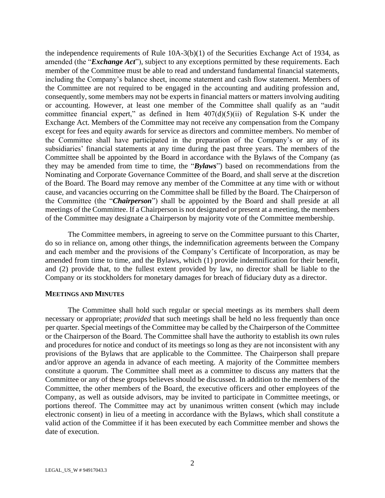the independence requirements of Rule  $10A-3(b)(1)$  of the Securities Exchange Act of 1934, as amended (the "*Exchange Act*"), subject to any exceptions permitted by these requirements. Each member of the Committee must be able to read and understand fundamental financial statements, including the Company's balance sheet, income statement and cash flow statement. Members of the Committee are not required to be engaged in the accounting and auditing profession and, consequently, some members may not be experts in financial matters or matters involving auditing or accounting. However, at least one member of the Committee shall qualify as an "audit committee financial expert," as defined in Item  $407(d)(5)(ii)$  of Regulation S-K under the Exchange Act. Members of the Committee may not receive any compensation from the Company except for fees and equity awards for service as directors and committee members. No member of the Committee shall have participated in the preparation of the Company's or any of its subsidiaries' financial statements at any time during the past three years. The members of the Committee shall be appointed by the Board in accordance with the Bylaws of the Company (as they may be amended from time to time, the "*Bylaws*") based on recommendations from the Nominating and Corporate Governance Committee of the Board, and shall serve at the discretion of the Board. The Board may remove any member of the Committee at any time with or without cause, and vacancies occurring on the Committee shall be filled by the Board. The Chairperson of the Committee (the "*Chairperson*") shall be appointed by the Board and shall preside at all meetings of the Committee. If a Chairperson is not designated or present at a meeting, the members of the Committee may designate a Chairperson by majority vote of the Committee membership.

The Committee members, in agreeing to serve on the Committee pursuant to this Charter, do so in reliance on, among other things, the indemnification agreements between the Company and each member and the provisions of the Company's Certificate of Incorporation, as may be amended from time to time, and the Bylaws, which (1) provide indemnification for their benefit, and (2) provide that, to the fullest extent provided by law, no director shall be liable to the Company or its stockholders for monetary damages for breach of fiduciary duty as a director.

### **MEETINGS AND MINUTES**

The Committee shall hold such regular or special meetings as its members shall deem necessary or appropriate; *provided* that such meetings shall be held no less frequently than once per quarter. Special meetings of the Committee may be called by the Chairperson of the Committee or the Chairperson of the Board. The Committee shall have the authority to establish its own rules and procedures for notice and conduct of its meetings so long as they are not inconsistent with any provisions of the Bylaws that are applicable to the Committee. The Chairperson shall prepare and/or approve an agenda in advance of each meeting. A majority of the Committee members constitute a quorum. The Committee shall meet as a committee to discuss any matters that the Committee or any of these groups believes should be discussed. In addition to the members of the Committee, the other members of the Board, the executive officers and other employees of the Company, as well as outside advisors, may be invited to participate in Committee meetings, or portions thereof. The Committee may act by unanimous written consent (which may include electronic consent) in lieu of a meeting in accordance with the Bylaws, which shall constitute a valid action of the Committee if it has been executed by each Committee member and shows the date of execution.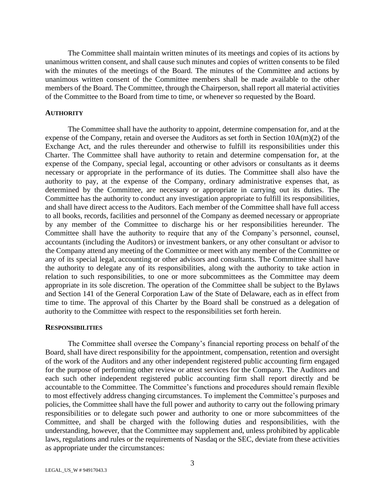The Committee shall maintain written minutes of its meetings and copies of its actions by unanimous written consent, and shall cause such minutes and copies of written consents to be filed with the minutes of the meetings of the Board. The minutes of the Committee and actions by unanimous written consent of the Committee members shall be made available to the other members of the Board. The Committee, through the Chairperson, shall report all material activities of the Committee to the Board from time to time, or whenever so requested by the Board.

## **AUTHORITY**

The Committee shall have the authority to appoint, determine compensation for, and at the expense of the Company, retain and oversee the Auditors as set forth in Section 10A(m)(2) of the Exchange Act, and the rules thereunder and otherwise to fulfill its responsibilities under this Charter. The Committee shall have authority to retain and determine compensation for, at the expense of the Company, special legal, accounting or other advisors or consultants as it deems necessary or appropriate in the performance of its duties. The Committee shall also have the authority to pay, at the expense of the Company, ordinary administrative expenses that, as determined by the Committee, are necessary or appropriate in carrying out its duties. The Committee has the authority to conduct any investigation appropriate to fulfill its responsibilities, and shall have direct access to the Auditors. Each member of the Committee shall have full access to all books, records, facilities and personnel of the Company as deemed necessary or appropriate by any member of the Committee to discharge his or her responsibilities hereunder. The Committee shall have the authority to require that any of the Company's personnel, counsel, accountants (including the Auditors) or investment bankers, or any other consultant or advisor to the Company attend any meeting of the Committee or meet with any member of the Committee or any of its special legal, accounting or other advisors and consultants. The Committee shall have the authority to delegate any of its responsibilities, along with the authority to take action in relation to such responsibilities, to one or more subcommittees as the Committee may deem appropriate in its sole discretion. The operation of the Committee shall be subject to the Bylaws and Section 141 of the General Corporation Law of the State of Delaware, each as in effect from time to time. The approval of this Charter by the Board shall be construed as a delegation of authority to the Committee with respect to the responsibilities set forth herein.

#### **RESPONSIBILITIES**

The Committee shall oversee the Company's financial reporting process on behalf of the Board, shall have direct responsibility for the appointment, compensation, retention and oversight of the work of the Auditors and any other independent registered public accounting firm engaged for the purpose of performing other review or attest services for the Company. The Auditors and each such other independent registered public accounting firm shall report directly and be accountable to the Committee. The Committee's functions and procedures should remain flexible to most effectively address changing circumstances. To implement the Committee's purposes and policies, the Committee shall have the full power and authority to carry out the following primary responsibilities or to delegate such power and authority to one or more subcommittees of the Committee, and shall be charged with the following duties and responsibilities, with the understanding, however, that the Committee may supplement and, unless prohibited by applicable laws, regulations and rules or the requirements of Nasdaq or the SEC, deviate from these activities as appropriate under the circumstances: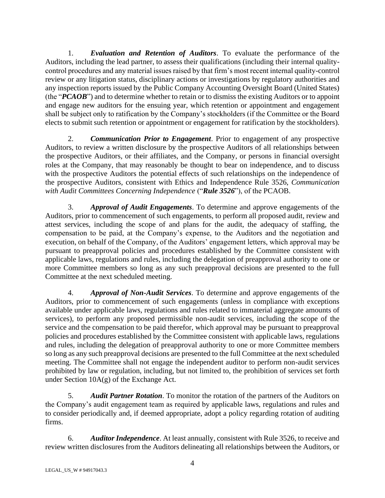1. *Evaluation and Retention of Auditors*. To evaluate the performance of the Auditors, including the lead partner, to assess their qualifications (including their internal qualitycontrol procedures and any material issues raised by that firm's most recent internal quality-control review or any litigation status, disciplinary actions or investigations by regulatory authorities and any inspection reports issued by the Public Company Accounting Oversight Board (United States) (the "*PCAOB*") and to determine whether to retain or to dismiss the existing Auditors or to appoint and engage new auditors for the ensuing year, which retention or appointment and engagement shall be subject only to ratification by the Company's stockholders (if the Committee or the Board elects to submit such retention or appointment or engagement for ratification by the stockholders).

2. *Communication Prior to Engagement*. Prior to engagement of any prospective Auditors, to review a written disclosure by the prospective Auditors of all relationships between the prospective Auditors, or their affiliates, and the Company, or persons in financial oversight roles at the Company, that may reasonably be thought to bear on independence, and to discuss with the prospective Auditors the potential effects of such relationships on the independence of the prospective Auditors, consistent with Ethics and Independence Rule 3526, *Communication with Audit Committees Concerning Independence* ("*Rule 3526*"), of the PCAOB.

3. *Approval of Audit Engagements*. To determine and approve engagements of the Auditors, prior to commencement of such engagements, to perform all proposed audit, review and attest services, including the scope of and plans for the audit, the adequacy of staffing, the compensation to be paid, at the Company's expense, to the Auditors and the negotiation and execution, on behalf of the Company, of the Auditors' engagement letters, which approval may be pursuant to preapproval policies and procedures established by the Committee consistent with applicable laws, regulations and rules, including the delegation of preapproval authority to one or more Committee members so long as any such preapproval decisions are presented to the full Committee at the next scheduled meeting.

4. *Approval of Non-Audit Services*. To determine and approve engagements of the Auditors, prior to commencement of such engagements (unless in compliance with exceptions available under applicable laws, regulations and rules related to immaterial aggregate amounts of services), to perform any proposed permissible non-audit services, including the scope of the service and the compensation to be paid therefor, which approval may be pursuant to preapproval policies and procedures established by the Committee consistent with applicable laws, regulations and rules, including the delegation of preapproval authority to one or more Committee members so long as any such preapproval decisions are presented to the full Committee at the next scheduled meeting. The Committee shall not engage the independent auditor to perform non-audit services prohibited by law or regulation, including, but not limited to, the prohibition of services set forth under Section 10A(g) of the Exchange Act.

5. *Audit Partner Rotation*. To monitor the rotation of the partners of the Auditors on the Company's audit engagement team as required by applicable laws, regulations and rules and to consider periodically and, if deemed appropriate, adopt a policy regarding rotation of auditing firms.

6. *Auditor Independence*. At least annually, consistent with Rule 3526, to receive and review written disclosures from the Auditors delineating all relationships between the Auditors, or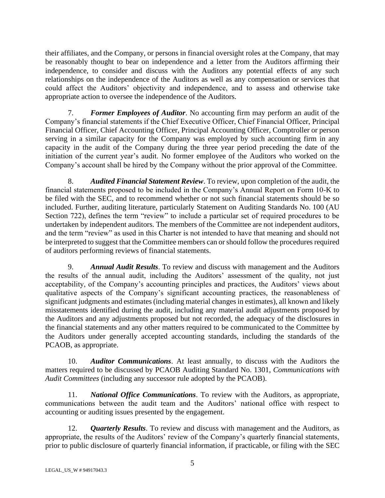their affiliates, and the Company, or persons in financial oversight roles at the Company, that may be reasonably thought to bear on independence and a letter from the Auditors affirming their independence, to consider and discuss with the Auditors any potential effects of any such relationships on the independence of the Auditors as well as any compensation or services that could affect the Auditors' objectivity and independence, and to assess and otherwise take appropriate action to oversee the independence of the Auditors.

7. *Former Employees of Auditor*. No accounting firm may perform an audit of the Company's financial statements if the Chief Executive Officer, Chief Financial Officer, Principal Financial Officer, Chief Accounting Officer, Principal Accounting Officer, Comptroller or person serving in a similar capacity for the Company was employed by such accounting firm in any capacity in the audit of the Company during the three year period preceding the date of the initiation of the current year's audit. No former employee of the Auditors who worked on the Company's account shall be hired by the Company without the prior approval of the Committee.

8. *Audited Financial Statement Review*. To review, upon completion of the audit, the financial statements proposed to be included in the Company's Annual Report on Form 10-K to be filed with the SEC, and to recommend whether or not such financial statements should be so included. Further, auditing literature, particularly Statement on Auditing Standards No. 100 (AU Section 722), defines the term "review" to include a particular set of required procedures to be undertaken by independent auditors. The members of the Committee are not independent auditors, and the term "review" as used in this Charter is not intended to have that meaning and should not be interpreted to suggest that the Committee members can or should follow the procedures required of auditors performing reviews of financial statements.

9. *Annual Audit Results*. To review and discuss with management and the Auditors the results of the annual audit, including the Auditors' assessment of the quality, not just acceptability, of the Company's accounting principles and practices, the Auditors' views about qualitative aspects of the Company's significant accounting practices, the reasonableness of significant judgments and estimates (including material changes in estimates), all known and likely misstatements identified during the audit, including any material audit adjustments proposed by the Auditors and any adjustments proposed but not recorded, the adequacy of the disclosures in the financial statements and any other matters required to be communicated to the Committee by the Auditors under generally accepted accounting standards, including the standards of the PCAOB, as appropriate.

10. *Auditor Communications*. At least annually, to discuss with the Auditors the matters required to be discussed by PCAOB Auditing Standard No. 1301, *Communications with Audit Committees* (including any successor rule adopted by the PCAOB).

11. *National Office Communications*. To review with the Auditors, as appropriate, communications between the audit team and the Auditors' national office with respect to accounting or auditing issues presented by the engagement.

12. *Quarterly Results*. To review and discuss with management and the Auditors, as appropriate, the results of the Auditors' review of the Company's quarterly financial statements, prior to public disclosure of quarterly financial information, if practicable, or filing with the SEC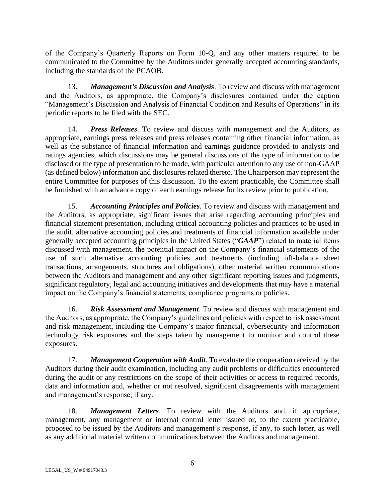of the Company's Quarterly Reports on Form 10-Q, and any other matters required to be communicated to the Committee by the Auditors under generally accepted accounting standards, including the standards of the PCAOB.

13. *Management's Discussion and Analysis*. To review and discuss with management and the Auditors, as appropriate, the Company's disclosures contained under the caption "Management's Discussion and Analysis of Financial Condition and Results of Operations" in its periodic reports to be filed with the SEC.

14. *Press Releases*. To review and discuss with management and the Auditors, as appropriate, earnings press releases and press releases containing other financial information, as well as the substance of financial information and earnings guidance provided to analysts and ratings agencies, which discussions may be general discussions of the type of information to be disclosed or the type of presentation to be made, with particular attention to any use of non-GAAP (as defined below) information and disclosures related thereto. The Chairperson may represent the entire Committee for purposes of this discussion. To the extent practicable, the Committee shall be furnished with an advance copy of each earnings release for its review prior to publication.

15. *Accounting Principles and Policies*. To review and discuss with management and the Auditors, as appropriate, significant issues that arise regarding accounting principles and financial statement presentation, including critical accounting policies and practices to be used in the audit, alternative accounting policies and treatments of financial information available under generally accepted accounting principles in the United States ("*GAAP*") related to material items discussed with management, the potential impact on the Company's financial statements of the use of such alternative accounting policies and treatments (including off-balance sheet transactions, arrangements, structures and obligations), other material written communications between the Auditors and management and any other significant reporting issues and judgments, significant regulatory, legal and accounting initiatives and developments that may have a material impact on the Company's financial statements, compliance programs or policies.

16. *Risk Assessment and Management*. To review and discuss with management and the Auditors, as appropriate, the Company's guidelines and policies with respect to risk assessment and risk management, including the Company's major financial, cybersecurity and information technology risk exposures and the steps taken by management to monitor and control these exposures.

17. *Management Cooperation with Audit*. To evaluate the cooperation received by the Auditors during their audit examination, including any audit problems or difficulties encountered during the audit or any restrictions on the scope of their activities or access to required records, data and information and, whether or not resolved, significant disagreements with management and management's response, if any.

18. *Management Letters*. To review with the Auditors and, if appropriate, management, any management or internal control letter issued or, to the extent practicable, proposed to be issued by the Auditors and management's response, if any, to such letter, as well as any additional material written communications between the Auditors and management.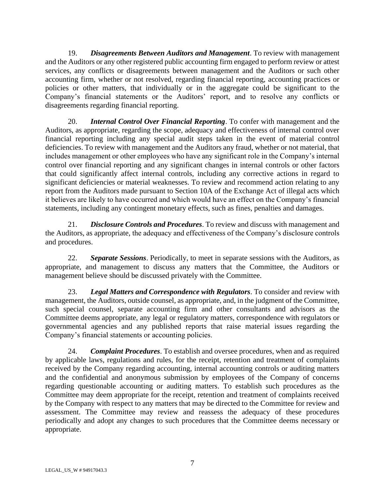19. *Disagreements Between Auditors and Management*. To review with management and the Auditors or any other registered public accounting firm engaged to perform review or attest services, any conflicts or disagreements between management and the Auditors or such other accounting firm, whether or not resolved, regarding financial reporting, accounting practices or policies or other matters, that individually or in the aggregate could be significant to the Company's financial statements or the Auditors' report, and to resolve any conflicts or disagreements regarding financial reporting.

20. *Internal Control Over Financial Reporting*. To confer with management and the Auditors, as appropriate, regarding the scope, adequacy and effectiveness of internal control over financial reporting including any special audit steps taken in the event of material control deficiencies. To review with management and the Auditors any fraud, whether or not material, that includes management or other employees who have any significant role in the Company's internal control over financial reporting and any significant changes in internal controls or other factors that could significantly affect internal controls, including any corrective actions in regard to significant deficiencies or material weaknesses. To review and recommend action relating to any report from the Auditors made pursuant to Section 10A of the Exchange Act of illegal acts which it believes are likely to have occurred and which would have an effect on the Company's financial statements, including any contingent monetary effects, such as fines, penalties and damages.

21. *Disclosure Controls and Procedures*. To review and discuss with management and the Auditors, as appropriate, the adequacy and effectiveness of the Company's disclosure controls and procedures.

22. *Separate Sessions*. Periodically, to meet in separate sessions with the Auditors, as appropriate, and management to discuss any matters that the Committee, the Auditors or management believe should be discussed privately with the Committee.

23. *Legal Matters and Correspondence with Regulators*. To consider and review with management, the Auditors, outside counsel, as appropriate, and, in the judgment of the Committee, such special counsel, separate accounting firm and other consultants and advisors as the Committee deems appropriate, any legal or regulatory matters, correspondence with regulators or governmental agencies and any published reports that raise material issues regarding the Company's financial statements or accounting policies.

24. *Complaint Procedures*. To establish and oversee procedures, when and as required by applicable laws, regulations and rules, for the receipt, retention and treatment of complaints received by the Company regarding accounting, internal accounting controls or auditing matters and the confidential and anonymous submission by employees of the Company of concerns regarding questionable accounting or auditing matters. To establish such procedures as the Committee may deem appropriate for the receipt, retention and treatment of complaints received by the Company with respect to any matters that may be directed to the Committee for review and assessment. The Committee may review and reassess the adequacy of these procedures periodically and adopt any changes to such procedures that the Committee deems necessary or appropriate.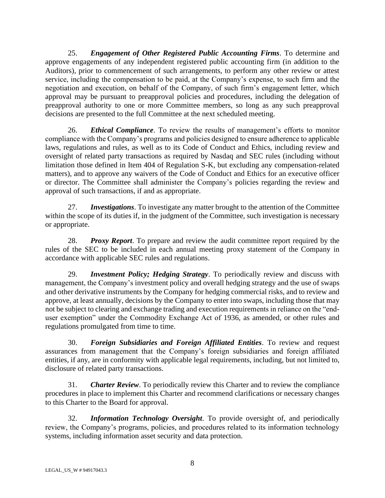25. *Engagement of Other Registered Public Accounting Firms*. To determine and approve engagements of any independent registered public accounting firm (in addition to the Auditors), prior to commencement of such arrangements, to perform any other review or attest service, including the compensation to be paid, at the Company's expense, to such firm and the negotiation and execution, on behalf of the Company, of such firm's engagement letter, which approval may be pursuant to preapproval policies and procedures, including the delegation of preapproval authority to one or more Committee members, so long as any such preapproval decisions are presented to the full Committee at the next scheduled meeting.

26. *Ethical Compliance*. To review the results of management's efforts to monitor compliance with the Company's programs and policies designed to ensure adherence to applicable laws, regulations and rules, as well as to its Code of Conduct and Ethics, including review and oversight of related party transactions as required by Nasdaq and SEC rules (including without limitation those defined in Item 404 of Regulation S-K, but excluding any compensation-related matters), and to approve any waivers of the Code of Conduct and Ethics for an executive officer or director. The Committee shall administer the Company's policies regarding the review and approval of such transactions, if and as appropriate.

27. *Investigations*. To investigate any matter brought to the attention of the Committee within the scope of its duties if, in the judgment of the Committee, such investigation is necessary or appropriate.

28. *Proxy Report*. To prepare and review the audit committee report required by the rules of the SEC to be included in each annual meeting proxy statement of the Company in accordance with applicable SEC rules and regulations.

29. *Investment Policy; Hedging Strategy*. To periodically review and discuss with management, the Company's investment policy and overall hedging strategy and the use of swaps and other derivative instruments by the Company for hedging commercial risks, and to review and approve, at least annually, decisions by the Company to enter into swaps, including those that may not be subject to clearing and exchange trading and execution requirements in reliance on the "enduser exemption" under the Commodity Exchange Act of 1936, as amended, or other rules and regulations promulgated from time to time.

30. *Foreign Subsidiaries and Foreign Affiliated Entities*. To review and request assurances from management that the Company's foreign subsidiaries and foreign affiliated entities, if any, are in conformity with applicable legal requirements, including, but not limited to, disclosure of related party transactions.

31. *Charter Review*. To periodically review this Charter and to review the compliance procedures in place to implement this Charter and recommend clarifications or necessary changes to this Charter to the Board for approval.

32. *Information Technology Oversight*. To provide oversight of, and periodically review, the Company's programs, policies, and procedures related to its information technology systems, including information asset security and data protection.